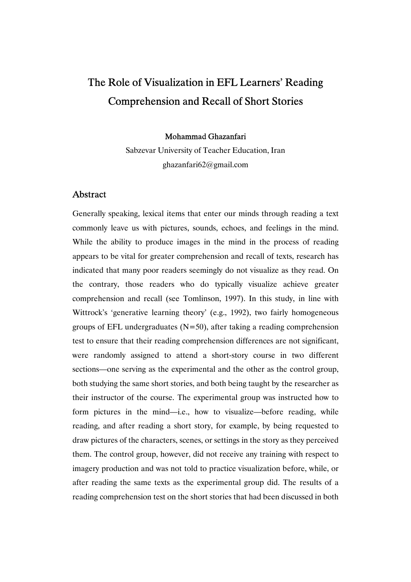# The Role of Visualization in EFL Learners' Reading Comprehension and Recall of Short Stories

Mohammad Ghazanfari

Sabzevar University of Teacher Education, Iran ghazanfari62@gmail.com

# Abstract

Generally speaking, lexical items that enter our minds through reading a text commonly leave us with pictures, sounds, echoes, and feelings in the mind. While the ability to produce images in the mind in the process of reading appears to be vital for greater comprehension and recall of texts, research has indicated that many poor readers seemingly do not visualize as they read. On the contrary, those readers who do typically visualize achieve greater comprehension and recall (see Tomlinson, 1997). In this study, in line with Wittrock's 'generative learning theory' (e.g., 1992), two fairly homogeneous groups of EFL undergraduates  $(N=50)$ , after taking a reading comprehension test to ensure that their reading comprehension differences are not significant, were randomly assigned to attend a short-story course in two different sections—one serving as the experimental and the other as the control group, both studying the same short stories, and both being taught by the researcher as their instructor of the course. The experimental group was instructed how to form pictures in the mind—i.e., how to visualize—before reading, while reading, and after reading a short story, for example, by being requested to draw pictures of the characters, scenes, or settings in the story as they perceived them. The control group, however, did not receive any training with respect to imagery production and was not told to practice visualization before, while, or after reading the same texts as the experimental group did. The results of a reading comprehension test on the short stories that had been discussed in both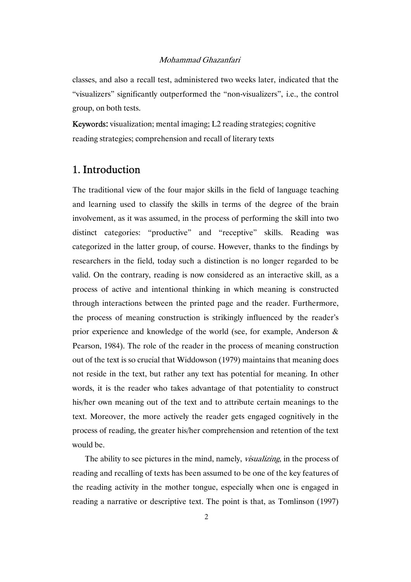classes, and also a recall test, administered two weeks later, indicated that the "visualizers" significantly outperformed the "non-visualizers", i.e., the control group, on both tests.

Keywords: visualization; mental imaging; L2 reading strategies; cognitive reading strategies; comprehension and recall of literary texts

# 1. Introduction

The traditional view of the four major skills in the field of language teaching and learning used to classify the skills in terms of the degree of the brain involvement, as it was assumed, in the process of performing the skill into two distinct categories: "productive" and "receptive" skills. Reading was categorized in the latter group, of course. However, thanks to the findings by researchers in the field, today such a distinction is no longer regarded to be valid. On the contrary, reading is now considered as an interactive skill, as a process of active and intentional thinking in which meaning is constructed through interactions between the printed page and the reader. Furthermore, the process of meaning construction is strikingly influenced by the reader's prior experience and knowledge of the world (see, for example, Anderson & Pearson, 1984). The role of the reader in the process of meaning construction out of the text is so crucial that Widdowson (1979) maintains that meaning does not reside in the text, but rather any text has potential for meaning. In other words, it is the reader who takes advantage of that potentiality to construct his/her own meaning out of the text and to attribute certain meanings to the text. Moreover, the more actively the reader gets engaged cognitively in the process of reading, the greater his/her comprehension and retention of the text would be.

The ability to see pictures in the mind, namely, *visualizing*, in the process of reading and recalling of texts has been assumed to be one of the key features of the reading activity in the mother tongue, especially when one is engaged in reading a narrative or descriptive text. The point is that, as Tomlinson (1997)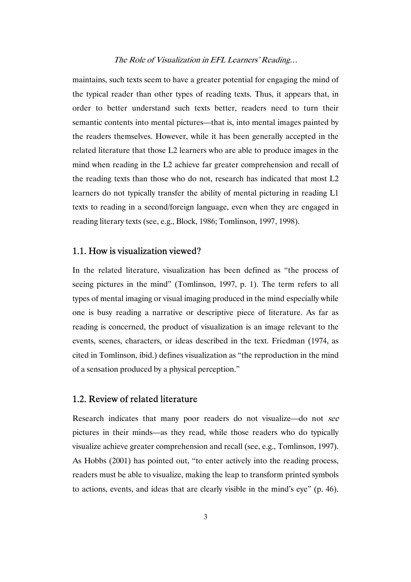maintains, such texts seem to have a greater potential for engaging the mind of the typical reader than other types of reading texts. Thus, it appears that, in order to better understand such texts better, readers need to turn their semantic contents into mental pictures—that is, into mental images painted by the readers themselves. However, while it has been generally accepted in the related literature that those L2 learners who are able to produce images in the mind when reading in the L2 achieve far greater comprehension and recall of the reading texts than those who do not, research has indicated that most L2 learners do not typically transfer the ability of mental picturing in reading L1 texts to reading in a second/foreign language, even when they are engaged in reading literary texts (see, e.g., Block, 1986; Tomlinson, 1997, 1998).

#### 1.1. How is visualization viewed?

In the related literature, visualization has been defined as "the process of seeing pictures in the mind" (Tomlinson, 1997, p. 1). The term refers to all types of mental imaging or visual imaging produced in the mind especially while one is busy reading a narrative or descriptive piece of literature. As far as reading is concerned, the product of visualization is an image relevant to the events, scenes, characters, or ideas described in the text. Friedman (1974, as cited in Tomlinson, ibid.) defines visualization as "the reproduction in the mind of a sensation produced by a physical perception."

## 1.2. Review of related literature

Research indicates that many poor readers do not visualize—do not see pictures in their minds—as they read, while those readers who do typically visualize achieve greater comprehension and recall (see, e.g., Tomlinson, 1997). As Hobbs (2001) has pointed out, "to enter actively into the reading process, readers must be able to visualize, making the leap to transform printed symbols to actions, events, and ideas that are clearly visible in the mind's eye" (p. 46).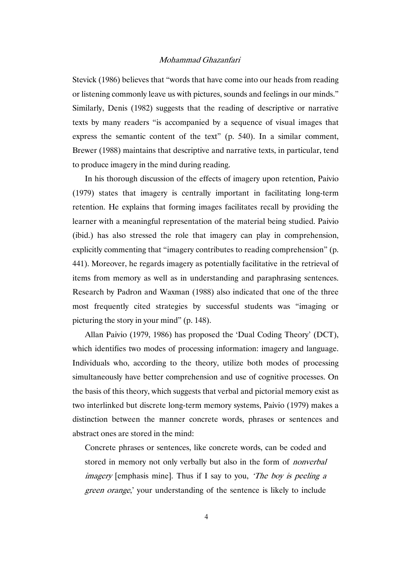Stevick (1986) believes that "words that have come into our heads from reading or listening commonly leave us with pictures, sounds and feelings in our minds." Similarly, Denis (1982) suggests that the reading of descriptive or narrative texts by many readers "is accompanied by a sequence of visual images that express the semantic content of the text" (p. 540). In a similar comment, Brewer (1988) maintains that descriptive and narrative texts, in particular, tend to produce imagery in the mind during reading.

In his thorough discussion of the effects of imagery upon retention, Paivio (1979) states that imagery is centrally important in facilitating long-term retention. He explains that forming images facilitates recall by providing the learner with a meaningful representation of the material being studied. Paivio (ibid.) has also stressed the role that imagery can play in comprehension, explicitly commenting that "imagery contributes to reading comprehension" (p. 441). Moreover, he regards imagery as potentially facilitative in the retrieval of items from memory as well as in understanding and paraphrasing sentences. Research by Padron and Waxman (1988) also indicated that one of the three most frequently cited strategies by successful students was "imaging or picturing the story in your mind" (p. 148).

Allan Paivio (1979, 1986) has proposed the 'Dual Coding Theory' (DCT), which identifies two modes of processing information: imagery and language. Individuals who, according to the theory, utilize both modes of processing simultaneously have better comprehension and use of cognitive processes. On the basis of this theory, which suggests that verbal and pictorial memory exist as two interlinked but discrete long-term memory systems, Paivio (1979) makes a distinction between the manner concrete words, phrases or sentences and abstract ones are stored in the mind:

Concrete phrases or sentences, like concrete words, can be coded and stored in memory not only verbally but also in the form of nonverbal imagery [emphasis mine]. Thus if I say to you, 'The boy is peeling a green orange,' your understanding of the sentence is likely to include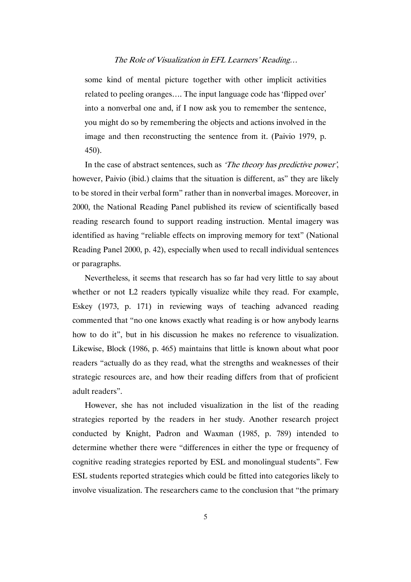some kind of mental picture together with other implicit activities related to peeling oranges…. The input language code has 'flipped over' into a nonverbal one and, if I now ask you to remember the sentence, you might do so by remembering the objects and actions involved in the image and then reconstructing the sentence from it. (Paivio 1979, p. 450).

In the case of abstract sentences, such as 'The theory has predictive power', however, Paivio (ibid.) claims that the situation is different, as" they are likely to be stored in their verbal form" rather than in nonverbal images. Moreover, in 2000, the National Reading Panel published its review of scientifically based reading research found to support reading instruction. Mental imagery was identified as having "reliable effects on improving memory for text" (National Reading Panel 2000, p. 42), especially when used to recall individual sentences or paragraphs.

Nevertheless, it seems that research has so far had very little to say about whether or not L2 readers typically visualize while they read. For example, Eskey (1973, p. 171) in reviewing ways of teaching advanced reading commented that "no one knows exactly what reading is or how anybody learns how to do it", but in his discussion he makes no reference to visualization. Likewise, Block (1986, p. 465) maintains that little is known about what poor readers "actually do as they read, what the strengths and weaknesses of their strategic resources are, and how their reading differs from that of proficient adult readers".

However, she has not included visualization in the list of the reading strategies reported by the readers in her study. Another research project conducted by Knight, Padron and Waxman (1985, p. 789) intended to determine whether there were "differences in either the type or frequency of cognitive reading strategies reported by ESL and monolingual students". Few ESL students reported strategies which could be fitted into categories likely to involve visualization. The researchers came to the conclusion that "the primary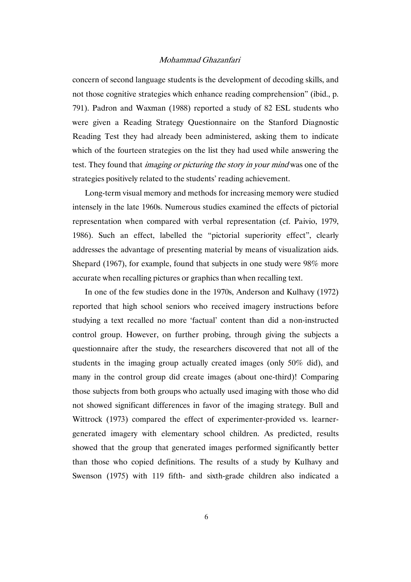concern of second language students is the development of decoding skills, and not those cognitive strategies which enhance reading comprehension" (ibid., p. 791). Padron and Waxman (1988) reported a study of 82 ESL students who were given a Reading Strategy Questionnaire on the Stanford Diagnostic Reading Test they had already been administered, asking them to indicate which of the fourteen strategies on the list they had used while answering the test. They found that *imaging or picturing the story in your mind* was one of the strategies positively related to the students' reading achievement.

Long-term visual memory and methods for increasing memory were studied intensely in the late 1960s. Numerous studies examined the effects of pictorial representation when compared with verbal representation (cf. Paivio, 1979, 1986). Such an effect, labelled the "pictorial superiority effect", clearly addresses the advantage of presenting material by means of visualization aids. Shepard (1967), for example, found that subjects in one study were 98% more accurate when recalling pictures or graphics than when recalling text.

In one of the few studies done in the 1970s, Anderson and Kulhavy (1972) reported that high school seniors who received imagery instructions before studying a text recalled no more 'factual' content than did a non-instructed control group. However, on further probing, through giving the subjects a questionnaire after the study, the researchers discovered that not all of the students in the imaging group actually created images (only 50% did), and many in the control group did create images (about one-third)! Comparing those subjects from both groups who actually used imaging with those who did not showed significant differences in favor of the imaging strategy. Bull and Wittrock (1973) compared the effect of experimenter-provided vs. learnergenerated imagery with elementary school children. As predicted, results showed that the group that generated images performed significantly better than those who copied definitions. The results of a study by Kulhavy and Swenson (1975) with 119 fifth- and sixth-grade children also indicated a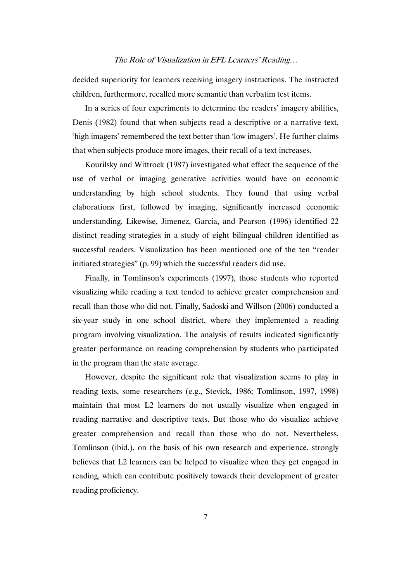decided superiority for learners receiving imagery instructions. The instructed children, furthermore, recalled more semantic than verbatim test items.

In a series of four experiments to determine the readers' imagery abilities, Denis (1982) found that when subjects read a descriptive or a narrative text, 'high imagers' remembered the text better than 'low imagers'. He further claims that when subjects produce more images, their recall of a text increases.

Kourilsky and Wittrock (1987) investigated what effect the sequence of the use of verbal or imaging generative activities would have on economic understanding by high school students. They found that using verbal elaborations first, followed by imaging, significantly increased economic understanding. Likewise, Jimenez, Garcia, and Pearson (1996) identified 22 distinct reading strategies in a study of eight bilingual children identified as successful readers. Visualization has been mentioned one of the ten "reader initiated strategies" (p. 99) which the successful readers did use.

Finally, in Tomlinson's experiments (1997), those students who reported visualizing while reading a text tended to achieve greater comprehension and recall than those who did not. Finally, Sadoski and Willson (2006) conducted a six-year study in one school district, where they implemented a reading program involving visualization. The analysis of results indicated significantly greater performance on reading comprehension by students who participated in the program than the state average.

However, despite the significant role that visualization seems to play in reading texts, some researchers (e.g., Stevick, 1986; Tomlinson, 1997, 1998) maintain that most L2 learners do not usually visualize when engaged in reading narrative and descriptive texts. But those who do visualize achieve greater comprehension and recall than those who do not. Nevertheless, Tomlinson (ibid.), on the basis of his own research and experience, strongly believes that L2 learners can be helped to visualize when they get engaged in reading, which can contribute positively towards their development of greater reading proficiency.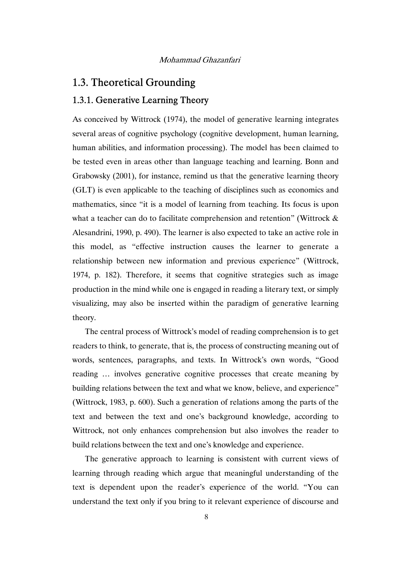# 1.3. Theoretical Grounding

# 1.3.1. Generative Learning Theory

As conceived by Wittrock (1974), the model of generative learning integrates several areas of cognitive psychology (cognitive development, human learning, human abilities, and information processing). The model has been claimed to be tested even in areas other than language teaching and learning. Bonn and Grabowsky (2001), for instance, remind us that the generative learning theory (GLT) is even applicable to the teaching of disciplines such as economics and mathematics, since "it is a model of learning from teaching. Its focus is upon what a teacher can do to facilitate comprehension and retention" (Wittrock  $\&$ Alesandrini, 1990, p. 490). The learner is also expected to take an active role in this model, as "effective instruction causes the learner to generate a relationship between new information and previous experience" (Wittrock, 1974, p. 182). Therefore, it seems that cognitive strategies such as image production in the mind while one is engaged in reading a literary text, or simply visualizing, may also be inserted within the paradigm of generative learning theory.

The central process of Wittrock's model of reading comprehension is to get readers to think, to generate, that is, the process of constructing meaning out of words, sentences, paragraphs, and texts. In Wittrock's own words, "Good reading … involves generative cognitive processes that create meaning by building relations between the text and what we know, believe, and experience" (Wittrock, 1983, p. 600). Such a generation of relations among the parts of the text and between the text and one's background knowledge, according to Wittrock, not only enhances comprehension but also involves the reader to build relations between the text and one's knowledge and experience.

The generative approach to learning is consistent with current views of learning through reading which argue that meaningful understanding of the text is dependent upon the reader's experience of the world. "You can understand the text only if you bring to it relevant experience of discourse and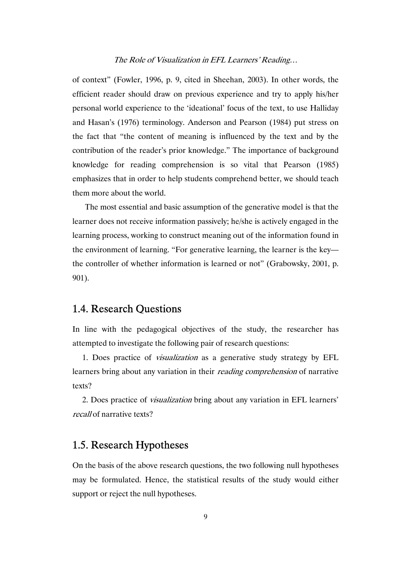of context" (Fowler, 1996, p. 9, cited in Sheehan, 2003). In other words, the efficient reader should draw on previous experience and try to apply his/her personal world experience to the 'ideational' focus of the text, to use Halliday and Hasan's (1976) terminology. Anderson and Pearson (1984) put stress on the fact that "the content of meaning is influenced by the text and by the contribution of the reader's prior knowledge." The importance of background knowledge for reading comprehension is so vital that Pearson (1985) emphasizes that in order to help students comprehend better, we should teach them more about the world.

The most essential and basic assumption of the generative model is that the learner does not receive information passively; he/she is actively engaged in the learning process, working to construct meaning out of the information found in the environment of learning. "For generative learning, the learner is the key the controller of whether information is learned or not" (Grabowsky, 2001, p. 901).

# 1.4. Research Questions

In line with the pedagogical objectives of the study, the researcher has attempted to investigate the following pair of research questions:

1. Does practice of visualization as a generative study strategy by EFL learners bring about any variation in their reading comprehension of narrative texts?

2. Does practice of visualization bring about any variation in EFL learners' recall of narrative texts?

# 1.5. Research Hypotheses

On the basis of the above research questions, the two following null hypotheses may be formulated. Hence, the statistical results of the study would either support or reject the null hypotheses.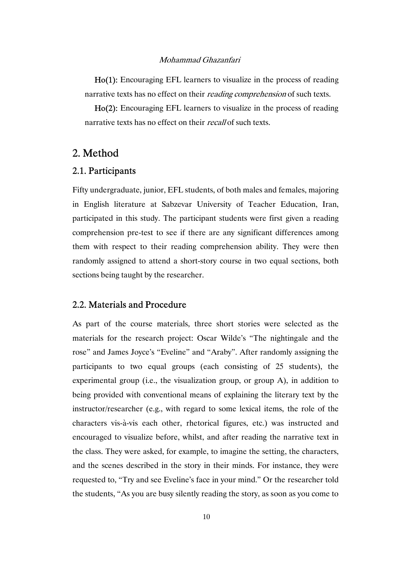Ho(1): Encouraging EFL learners to visualize in the process of reading narrative texts has no effect on their *reading comprehension* of such texts.

Ho(2): Encouraging EFL learners to visualize in the process of reading narrative texts has no effect on their *recall* of such texts.

# 2. Method

### 2.1. Participants

Fifty undergraduate, junior, EFL students, of both males and females, majoring in English literature at Sabzevar University of Teacher Education, Iran, participated in this study. The participant students were first given a reading comprehension pre-test to see if there are any significant differences among them with respect to their reading comprehension ability. They were then randomly assigned to attend a short-story course in two equal sections, both sections being taught by the researcher.

#### 2.2. Materials and Procedure

As part of the course materials, three short stories were selected as the materials for the research project: Oscar Wilde's "The nightingale and the rose" and James Joyce's "Eveline" and "Araby". After randomly assigning the participants to two equal groups (each consisting of 25 students), the experimental group (i.e., the visualization group, or group A), in addition to being provided with conventional means of explaining the literary text by the instructor/researcher (e.g., with regard to some lexical items, the role of the characters vis-à-vis each other, rhetorical figures, etc.) was instructed and encouraged to visualize before, whilst, and after reading the narrative text in the class. They were asked, for example, to imagine the setting, the characters, and the scenes described in the story in their minds. For instance, they were requested to, "Try and see Eveline's face in your mind." Or the researcher told the students, "As you are busy silently reading the story, as soon as you come to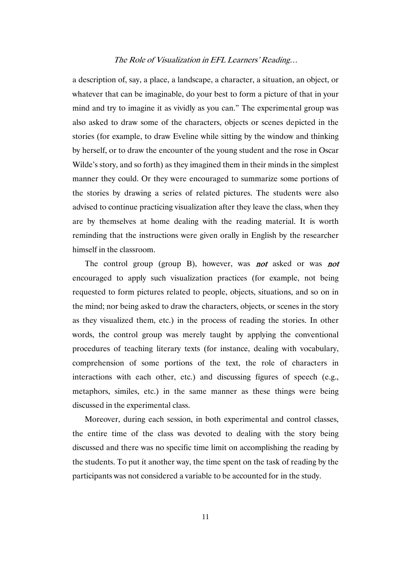a description of, say, a place, a landscape, a character, a situation, an object, or whatever that can be imaginable, do your best to form a picture of that in your mind and try to imagine it as vividly as you can." The experimental group was also asked to draw some of the characters, objects or scenes depicted in the stories (for example, to draw Eveline while sitting by the window and thinking by herself, or to draw the encounter of the young student and the rose in Oscar Wilde's story, and so forth) as they imagined them in their minds in the simplest manner they could. Or they were encouraged to summarize some portions of the stories by drawing a series of related pictures. The students were also advised to continue practicing visualization after they leave the class, when they are by themselves at home dealing with the reading material. It is worth reminding that the instructions were given orally in English by the researcher himself in the classroom.

The control group (group B), however, was **not** asked or was **not** encouraged to apply such visualization practices (for example, not being requested to form pictures related to people, objects, situations, and so on in the mind; nor being asked to draw the characters, objects, or scenes in the story as they visualized them, etc.) in the process of reading the stories. In other words, the control group was merely taught by applying the conventional procedures of teaching literary texts (for instance, dealing with vocabulary, comprehension of some portions of the text, the role of characters in interactions with each other, etc.) and discussing figures of speech (e.g., metaphors, similes, etc.) in the same manner as these things were being discussed in the experimental class.

Moreover, during each session, in both experimental and control classes, the entire time of the class was devoted to dealing with the story being discussed and there was no specific time limit on accomplishing the reading by the students. To put it another way, the time spent on the task of reading by the participants was not considered a variable to be accounted for in the study.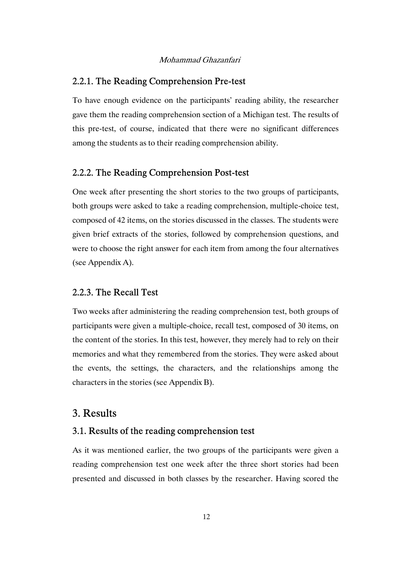### 2.2.1. The Reading Comprehension Pre-test

To have enough evidence on the participants' reading ability, the researcher gave them the reading comprehension section of a Michigan test. The results of this pre-test, of course, indicated that there were no significant differences among the students as to their reading comprehension ability.

#### 2.2.2. The Reading Comprehension Post-test

One week after presenting the short stories to the two groups of participants, both groups were asked to take a reading comprehension, multiple-choice test, composed of 42 items, on the stories discussed in the classes. The students were given brief extracts of the stories, followed by comprehension questions, and were to choose the right answer for each item from among the four alternatives (see Appendix A).

#### 2.2.3. The Recall Test

Two weeks after administering the reading comprehension test, both groups of participants were given a multiple-choice, recall test, composed of 30 items, on the content of the stories. In this test, however, they merely had to rely on their memories and what they remembered from the stories. They were asked about the events, the settings, the characters, and the relationships among the characters in the stories (see Appendix B).

# 3. Results

### 3.1. Results of the reading comprehension test

As it was mentioned earlier, the two groups of the participants were given a reading comprehension test one week after the three short stories had been presented and discussed in both classes by the researcher. Having scored the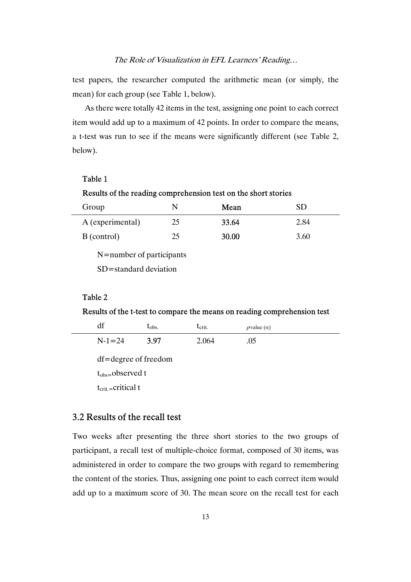test papers, the researcher computed the arithmetic mean (or simply, the mean) for each group (see Table 1, below).

As there were totally 42 items in the test, assigning one point to each correct item would add up to a maximum of 42 points. In order to compare the means, a t-test was run to see if the means were significantly different (see Table 2, below).

### Table 1

#### Results of the reading comprehension test on the short stories

| Group                    | N  | Mean  | SD   |  |
|--------------------------|----|-------|------|--|
| A (experimental)         | 25 | 33.64 | 2.84 |  |
| B (control)              | 25 | 30.00 | 3.60 |  |
| N=number of participants |    |       |      |  |

SD=standard deviation

#### Table 2

#### Results of the t-test to compare the means on reading comprehension test

| df                            | $\tau_{\rm obs.}$ | $t_{\rm crit.}$ | $p$ value $(\alpha)$ |  |
|-------------------------------|-------------------|-----------------|----------------------|--|
| $N-1=24$                      | 3.97              | 2.064           | .05                  |  |
| df=degree of freedom          |                   |                 |                      |  |
| $t_{obs=}$ observed t         |                   |                 |                      |  |
| $t_{\text{crit}}$ =critical t |                   |                 |                      |  |

## 3.2 Results of the recall test

Two weeks after presenting the three short stories to the two groups of participant, a recall test of multiple-choice format, composed of 30 items, was administered in order to compare the two groups with regard to remembering the content of the stories. Thus, assigning one point to each correct item would add up to a maximum score of 30. The mean score on the recall test for each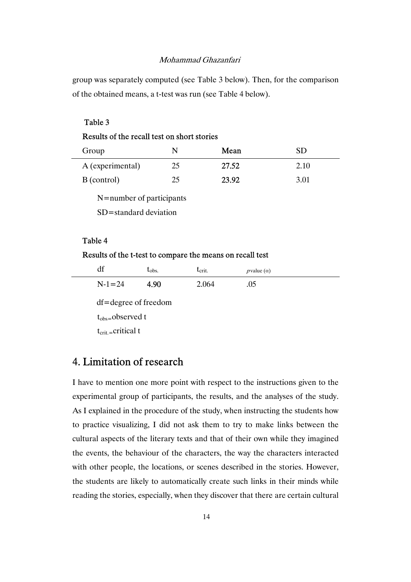group was separately computed (see Table 3 below). Then, for the comparison of the obtained means, a t-test was run (see Table 4 below).

### Table 3

### Results of the recall test on short stories

| Group                    | N  | Mean  | SD   |  |
|--------------------------|----|-------|------|--|
| A (experimental)         | 25 | 27.52 | 2.10 |  |
| B (control)              | 25 | 23.92 | 3.01 |  |
| N=number of participants |    |       |      |  |
| SD=standard deviation    |    |       |      |  |

### Table 4

### Results of the t-test to compare the means on recall test

| $\sim$<br>ul |          | $\iota$ <sub>obs.</sub> | $\mathbf{c}$ crit. | $p$ value $(\alpha)$ |
|--------------|----------|-------------------------|--------------------|----------------------|
|              | $N-1=24$ | 4.90                    | 2.064              | .05                  |

df=degree of freedom

tobs=observed t

 $t_{\text{crit}}$ =critical t

# 4. Limitation of research

I have to mention one more point with respect to the instructions given to the experimental group of participants, the results, and the analyses of the study. As I explained in the procedure of the study, when instructing the students how to practice visualizing, I did not ask them to try to make links between the cultural aspects of the literary texts and that of their own while they imagined the events, the behaviour of the characters, the way the characters interacted with other people, the locations, or scenes described in the stories. However, the students are likely to automatically create such links in their minds while reading the stories, especially, when they discover that there are certain cultural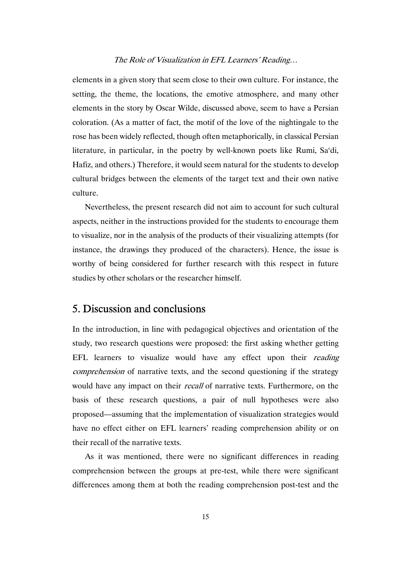elements in a given story that seem close to their own culture. For instance, the setting, the theme, the locations, the emotive atmosphere, and many other elements in the story by Oscar Wilde, discussed above, seem to have a Persian coloration. (As a matter of fact, the motif of the love of the nightingale to the rose has been widely reflected, though often metaphorically, in classical Persian literature, in particular, in the poetry by well-known poets like Rumi, Sa'di, Hafiz, and others.) Therefore, it would seem natural for the students to develop cultural bridges between the elements of the target text and their own native culture.

Nevertheless, the present research did not aim to account for such cultural aspects, neither in the instructions provided for the students to encourage them to visualize, nor in the analysis of the products of their visualizing attempts (for instance, the drawings they produced of the characters). Hence, the issue is worthy of being considered for further research with this respect in future studies by other scholars or the researcher himself.

# 5. Discussion and conclusions

In the introduction, in line with pedagogical objectives and orientation of the study, two research questions were proposed: the first asking whether getting EFL learners to visualize would have any effect upon their *reading* comprehension of narrative texts, and the second questioning if the strategy would have any impact on their *recall* of narrative texts. Furthermore, on the basis of these research questions, a pair of null hypotheses were also proposed—assuming that the implementation of visualization strategies would have no effect either on EFL learners' reading comprehension ability or on their recall of the narrative texts.

As it was mentioned, there were no significant differences in reading comprehension between the groups at pre-test, while there were significant differences among them at both the reading comprehension post-test and the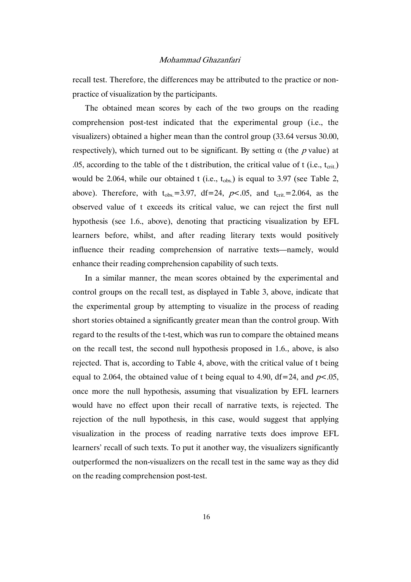recall test. Therefore, the differences may be attributed to the practice or nonpractice of visualization by the participants.

The obtained mean scores by each of the two groups on the reading comprehension post-test indicated that the experimental group (i.e., the visualizers) obtained a higher mean than the control group (33.64 versus 30.00, respectively), which turned out to be significant. By setting  $\alpha$  (the p value) at .05, according to the table of the t distribution, the critical value of t (i.e.,  $t_{\text{crit}}$ ) would be 2.064, while our obtained t (i.e.,  $t_{obs}$ ) is equal to 3.97 (see Table 2, above). Therefore, with  $t_{obs} = 3.97$ , df=24, p<.05, and  $t_{crit} = 2.064$ , as the observed value of t exceeds its critical value, we can reject the first null hypothesis (see 1.6., above), denoting that practicing visualization by EFL learners before, whilst, and after reading literary texts would positively influence their reading comprehension of narrative texts—namely, would enhance their reading comprehension capability of such texts.

In a similar manner, the mean scores obtained by the experimental and control groups on the recall test, as displayed in Table 3, above, indicate that the experimental group by attempting to visualize in the process of reading short stories obtained a significantly greater mean than the control group. With regard to the results of the t-test, which was run to compare the obtained means on the recall test, the second null hypothesis proposed in 1.6., above, is also rejected. That is, according to Table 4, above, with the critical value of t being equal to 2.064, the obtained value of t being equal to 4.90, df = 24, and  $p<.05$ , once more the null hypothesis, assuming that visualization by EFL learners would have no effect upon their recall of narrative texts, is rejected. The rejection of the null hypothesis, in this case, would suggest that applying visualization in the process of reading narrative texts does improve EFL learners' recall of such texts. To put it another way, the visualizers significantly outperformed the non-visualizers on the recall test in the same way as they did on the reading comprehension post-test.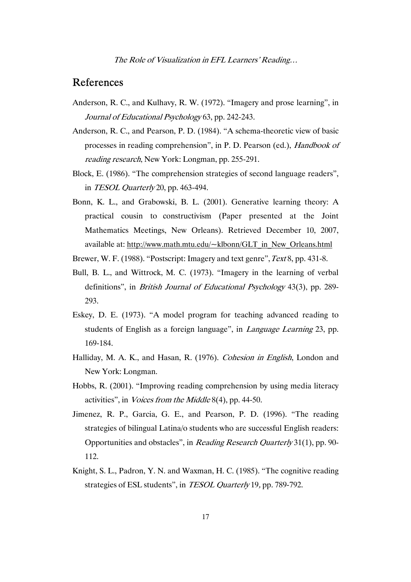# References

- Anderson, R. C., and Kulhavy, R. W. (1972). "Imagery and prose learning", in Journal of Educational Psychology 63, pp. 242-243.
- Anderson, R. C., and Pearson, P. D. (1984). "A schema-theoretic view of basic processes in reading comprehension", in P. D. Pearson (ed.), Handbook of reading research, New York: Longman, pp. 255-291.
- Block, E. (1986). "The comprehension strategies of second language readers", in TESOL Quarterly 20, pp. 463-494.
- Bonn, K. L., and Grabowski, B. L. (2001). Generative learning theory: A practical cousin to constructivism (Paper presented at the Joint Mathematics Meetings, New Orleans). Retrieved December 10, 2007, available at: http://www.math.mtu.edu/~klbonn/GLT\_in\_New\_Orleans.html
- Brewer, W. F. (1988). "Postscript: Imagery and text genre", Text 8, pp. 431-8.
- Bull, B. L., and Wittrock, M. C. (1973). "Imagery in the learning of verbal definitions", in British Journal of Educational Psychology 43(3), pp. 289- 293.
- Eskey, D. E. (1973). "A model program for teaching advanced reading to students of English as a foreign language", in Language Learning 23, pp. 169-184.
- Halliday, M. A. K., and Hasan, R. (1976). Cohesion in English, London and New York: Longman.
- Hobbs, R. (2001). "Improving reading comprehension by using media literacy activities", in Voices from the Middle 8(4), pp. 44-50.
- Jimenez, R. P., Garcia, G. E., and Pearson, P. D. (1996). "The reading strategies of bilingual Latina/o students who are successful English readers: Opportunities and obstacles", in Reading Research Quarterly 31(1), pp. 90- 112.
- Knight, S. L., Padron, Y. N. and Waxman, H. C. (1985). "The cognitive reading strategies of ESL students", in *TESOL Quarterly* 19, pp. 789-792.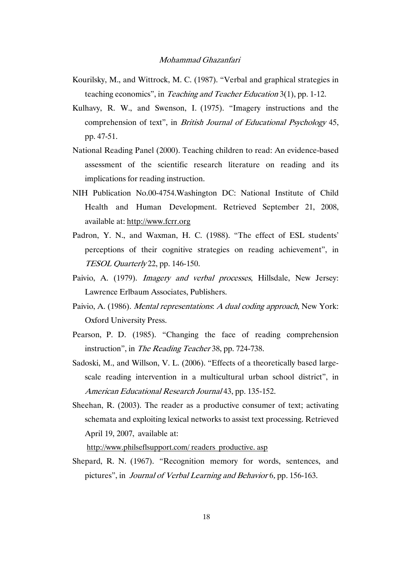- Kourilsky, M., and Wittrock, M. C. (1987). "Verbal and graphical strategies in teaching economics", in Teaching and Teacher Education 3(1), pp. 1-12.
- Kulhavy, R. W., and Swenson, I. (1975). "Imagery instructions and the comprehension of text", in British Journal of Educational Psychology 45, pp. 47-51.
- National Reading Panel (2000). Teaching children to read: An evidence-based assessment of the scientific research literature on reading and its implications for reading instruction.
- NIH Publication No.00-4754.Washington DC: National Institute of Child Health and Human Development. Retrieved September 21, 2008, available at: http://www.fcrr.org
- Padron, Y. N., and Waxman, H. C. (1988). "The effect of ESL students' perceptions of their cognitive strategies on reading achievement", in TESOL Quarterly 22, pp. 146-150.
- Paivio, A. (1979). Imagery and verbal processes, Hillsdale, New Jersey: Lawrence Erlbaum Associates, Publishers.
- Paivio, A. (1986). *Mental representations: A dual coding approach*, New York: Oxford University Press.
- Pearson, P. D. (1985). "Changing the face of reading comprehension instruction", in The Reading Teacher 38, pp. 724-738.
- Sadoski, M., and Willson, V. L. (2006). "Effects of a theoretically based largescale reading intervention in a multicultural urban school district", in American Educational Research Journal 43, pp. 135-152.
- Sheehan, R. (2003). The reader as a productive consumer of text; activating schemata and exploiting lexical networks to assist text processing. Retrieved April 19, 2007, available at:

http://www.philseflsupport.com/ readers productive. asp

Shepard, R. N. (1967). "Recognition memory for words, sentences, and pictures", in Journal of Verbal Learning and Behavior 6, pp. 156-163.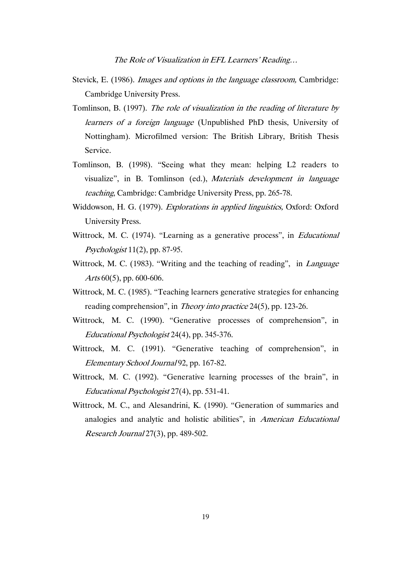- Stevick, E. (1986). Images and options in the language classroom, Cambridge: Cambridge University Press.
- Tomlinson, B. (1997). The role of visualization in the reading of literature by learners of a foreign language (Unpublished PhD thesis, University of Nottingham). Microfilmed version: The British Library, British Thesis Service.
- Tomlinson, B. (1998). "Seeing what they mean: helping L2 readers to visualize", in B. Tomlinson (ed.), Materials development in language teaching, Cambridge: Cambridge University Press, pp. 265-78.
- Widdowson, H. G. (1979). Explorations in applied linguistics, Oxford: Oxford University Press.
- Wittrock, M. C. (1974). "Learning as a generative process", in *Educational* Psychologist 11(2), pp. 87-95.
- Wittrock, M. C. (1983). "Writing and the teaching of reading", in Language Arts 60(5), pp. 600-606.
- Wittrock, M. C. (1985). "Teaching learners generative strategies for enhancing reading comprehension", in Theory into practice 24(5), pp. 123-26.
- Wittrock, M. C. (1990). "Generative processes of comprehension", in Educational Psychologist 24(4), pp. 345-376.
- Wittrock, M. C. (1991). "Generative teaching of comprehension", in Elementary School Journal 92, pp. 167-82.
- Wittrock, M. C. (1992). "Generative learning processes of the brain", in Educational Psychologist 27(4), pp. 531-41.
- Wittrock, M. C., and Alesandrini, K. (1990). "Generation of summaries and analogies and analytic and holistic abilities", in American Educational Research Journal 27(3), pp. 489-502.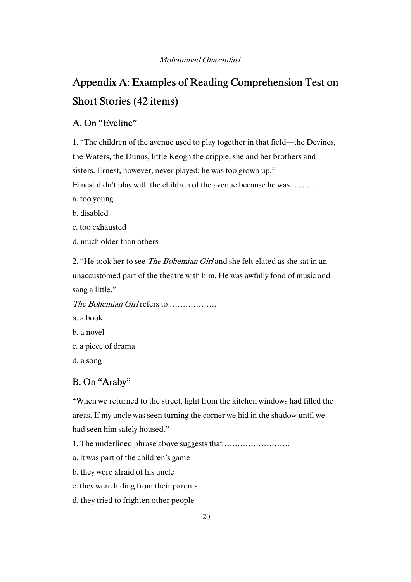# Appendix A: Examples of Reading Comprehension Test on Short Stories (42 items)

## A. On "Eveline"

1. "The children of the avenue used to play together in that field—the Devines, the Waters, the Dunns, little Keogh the cripple, she and her brothers and sisters. Ernest, however, never played: he was too grown up."

Ernest didn't play with the children of the avenue because he was ……. .

a. too young

b. disabled

c. too exhausted

d. much older than others

2. "He took her to see *The Bohemian Girl* and she felt elated as she sat in an unaccustomed part of the theatre with him. He was awfully fond of music and sang a little."

The Bohemian Girl refers to ..................

a. a book b. a novel

c. a piece of drama

d. a song

# B. On "Araby"

"When we returned to the street, light from the kitchen windows had filled the areas. If my uncle was seen turning the corner we hid in the shadow until we had seen him safely housed."

1. The underlined phrase above suggests that …………………….

a. it was part of the children's game

b. they were afraid of his uncle

c. they were hiding from their parents

d. they tried to frighten other people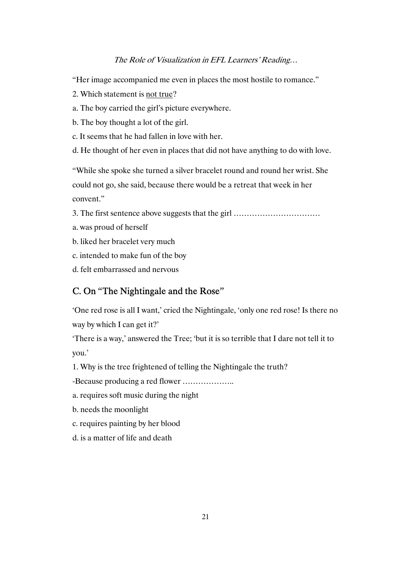"Her image accompanied me even in places the most hostile to romance."

- 2. Which statement is not true?
- a. The boy carried the girl's picture everywhere.
- b. The boy thought a lot of the girl.
- c. It seems that he had fallen in love with her.
- d. He thought of her even in places that did not have anything to do with love.

"While she spoke she turned a silver bracelet round and round her wrist. She could not go, she said, because there would be a retreat that week in her convent."

- 3. The first sentence above suggests that the girl ……………………………
- a. was proud of herself
- b. liked her bracelet very much
- c. intended to make fun of the boy
- d. felt embarrassed and nervous

### C. On "The Nightingale and the Rose"

'One red rose is all I want,' cried the Nightingale, 'only one red rose! Is there no way by which I can get it?'

'There is a way,' answered the Tree; 'but it is so terrible that I dare not tell it to you.'

1. Why is the tree frightened of telling the Nightingale the truth?

-Because producing a red flower ………………..

- a. requires soft music during the night
- b. needs the moonlight
- c. requires painting by her blood
- d. is a matter of life and death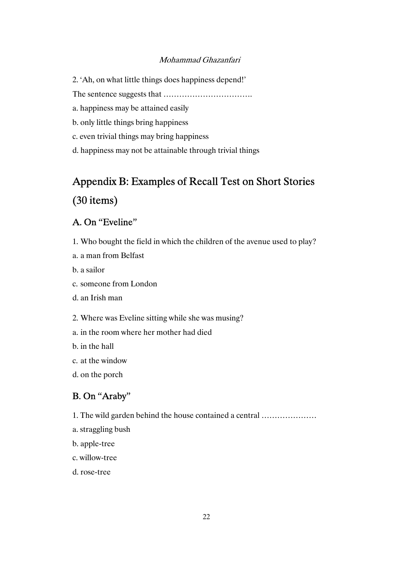- 2. 'Ah, on what little things does happiness depend!'
- The sentence suggests that …………………………….
- a. happiness may be attained easily
- b. only little things bring happiness
- c. even trivial things may bring happiness
- d. happiness may not be attainable through trivial things

# Appendix B: Examples of Recall Test on Short Stories

# (30 items)

# A. On "Eveline"

- 1. Who bought the field in which the children of the avenue used to play?
- a. a man from Belfast
- b. a sailor
- c. someone from London
- d. an Irish man
- 2. Where was Eveline sitting while she was musing?
- a. in the room where her mother had died
- b. in the hall
- c. at the window
- d. on the porch

# B. On "Araby"

1. The wild garden behind the house contained a central …………………

- a. straggling bush
- b. apple-tree
- c. willow-tree
- d. rose-tree